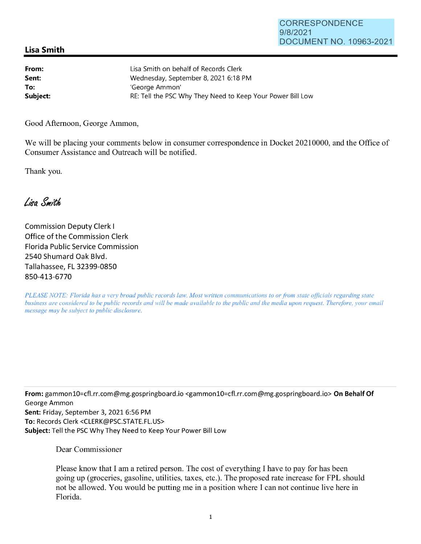## **Lisa Smith**

| From:    | Lisa Smith on behalf of Records Clerk                      |
|----------|------------------------------------------------------------|
| Sent:    | Wednesday, September 8, 2021 6:18 PM                       |
| To:      | 'George Ammon'                                             |
| Subject: | RE: Tell the PSC Why They Need to Keep Your Power Bill Low |

Good Afternoon, George Ammon,

We will be placing your comments below in consumer correspondence in Docket 20210000, and the Office of Consumer Assistance and Outreach will be notified.

Thank you.

Lisa Smith

Commission Deputy Clerk I Office of the Commission Clerk Florida Public Service Commission 2540 Shumard Oak Blvd. Tallahassee, FL 32399-0850 850-413-6770

*PLEASE NOTE: Florida has a very broad public records law. Most written communications to or from state officials regarding state business are considered to be public records and will be made available to the public and the media upon request. Therefore, your email message may be subject to public disclosure.* 

**From:** gammon10=cf1.rr.com@mg.gospringboard.io <gammon10=cf1.rr.com@mg.gospringboard.io> **On Behalf Of**  George Ammon **Sent:** Friday, September 3, 2021 6:56 PM **To:** Records Clerk <CLERK@PSC.STATE.FL.US> **Subject:** Tell the PSC Why They Need to Keep Your Power Bill Low

Dear Commissioner

Please know that I am a retired person. The cost of everything I have to pay for has been going up (groceries, gasoline, utilities, taxes, etc.). The proposed rate increase for FPL should not be allowed. You would be putting me in a position where I can not continue live here in Florida.